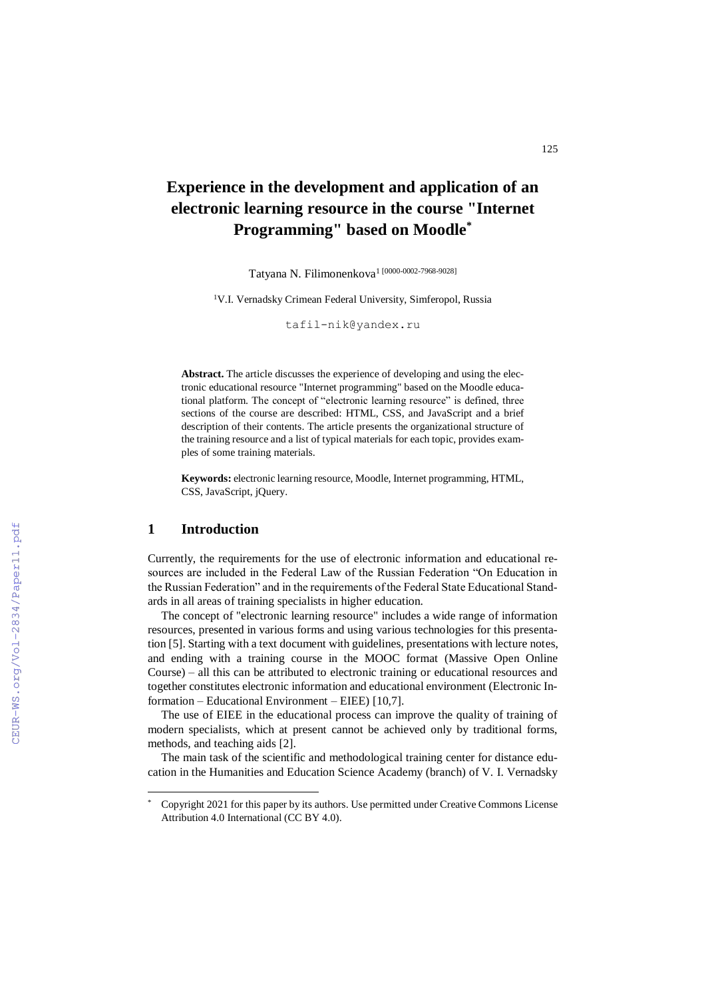# **Experience in the development and application of an electronic learning resource in the course "Internet Programming" based on Moodle\***

Tatyana N. Filimonenkova<sup>1</sup> [0000-0002-7968-9028]

<sup>1</sup>V.I. Vernadsky Crimean Federal University, Simferopol, Russia

tafil-nik@yandex.ru

**Abstract.** The article discusses the experience of developing and using the electronic educational resource "Internet programming" based on the Moodle educational platform. The concept of "electronic learning resource" is defined, three sections of the course are described: HTML, CSS, and JavaScript and a brief description of their contents. The article presents the organizational structure of the training resource and a list of typical materials for each topic, provides examples of some training materials.

**Keywords:** electronic learning resource, Moodle, Internet programming, HTML, CSS, JavaScript, jQuery.

#### **1 Introduction**

 $\overline{a}$ 

Currently, the requirements for the use of electronic information and educational resources are included in the Federal Law of the Russian Federation "On Education in the Russian Federation" and in the requirements of the Federal State Educational Standards in all areas of training specialists in higher education.

The concept of "electronic learning resource" includes a wide range of information resources, presented in various forms and using various technologies for this presentation [5]. Starting with a text document with guidelines, presentations with lecture notes, and ending with a training course in the MOOC format (Massive Open Online Course) – all this can be attributed to electronic training or educational resources and together constitutes electronic information and educational environment (Electronic Information – Educational Environment – EIEE) [10,7].

The use of EIEE in the educational process can improve the quality of training of modern specialists, which at present cannot be achieved only by traditional forms, methods, and teaching aids [2].

The main task of the scientific and methodological training center for distance education in the Humanities and Education Science Academy (branch) of V. I. Vernadsky

<sup>\*</sup> Copyright 2021 for this paper by its authors. Use permitted under Creative Commons License Attribution 4.0 International (CC BY 4.0).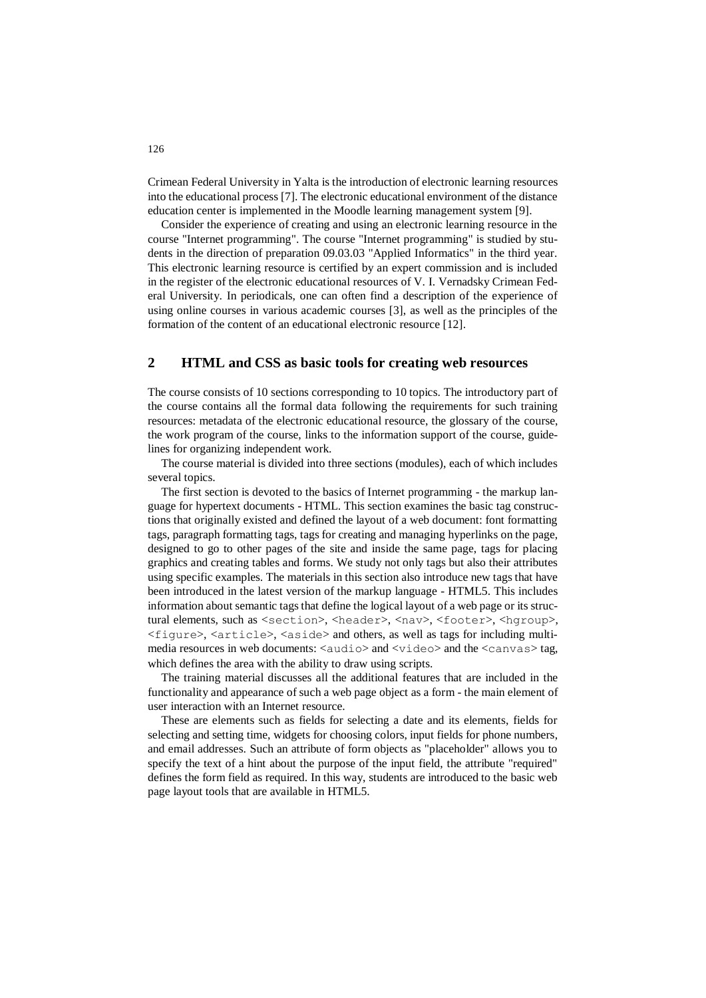Crimean Federal University in Yalta is the introduction of electronic learning resources into the educational process [7]. The electronic educational environment of the distance education center is implemented in the Moodle learning management system [9].

Consider the experience of creating and using an electronic learning resource in the course "Internet programming". The course "Internet programming" is studied by students in the direction of preparation 09.03.03 "Applied Informatics" in the third year. This electronic learning resource is certified by an expert commission and is included in the register of the electronic educational resources of V. I. Vernadsky Crimean Federal University. In periodicals, one can often find a description of the experience of using online courses in various academic courses [3], as well as the principles of the formation of the content of an educational electronic resource [12].

## **2 HTML and CSS as basic tools for creating web resources**

The course consists of 10 sections corresponding to 10 topics. The introductory part of the course contains all the formal data following the requirements for such training resources: metadata of the electronic educational resource, the glossary of the course, the work program of the course, links to the information support of the course, guidelines for organizing independent work.

The course material is divided into three sections (modules), each of which includes several topics.

The first section is devoted to the basics of Internet programming - the markup language for hypertext documents - HTML. This section examines the basic tag constructions that originally existed and defined the layout of a web document: font formatting tags, paragraph formatting tags, tags for creating and managing hyperlinks on the page, designed to go to other pages of the site and inside the same page, tags for placing graphics and creating tables and forms. We study not only tags but also their attributes using specific examples. The materials in this section also introduce new tags that have been introduced in the latest version of the markup language - HTML5. This includes information about semantic tags that define the logical layout of a web page or its structural elements, such as <section>, <header>, <nav>, <footer>, <hgroup>, <figure>, <article>, <aside> and others, as well as tags for including multimedia resources in web documents:  $\langle \text{audio}\rangle$  and  $\langle \text{video}\rangle$  and the  $\langle \text{canvas}\rangle$  tag, which defines the area with the ability to draw using scripts.

The training material discusses all the additional features that are included in the functionality and appearance of such a web page object as a form - the main element of user interaction with an Internet resource.

These are elements such as fields for selecting a date and its elements, fields for selecting and setting time, widgets for choosing colors, input fields for phone numbers, and email addresses. Such an attribute of form objects as "placeholder" allows you to specify the text of a hint about the purpose of the input field, the attribute "required" defines the form field as required. In this way, students are introduced to the basic web page layout tools that are available in HTML5.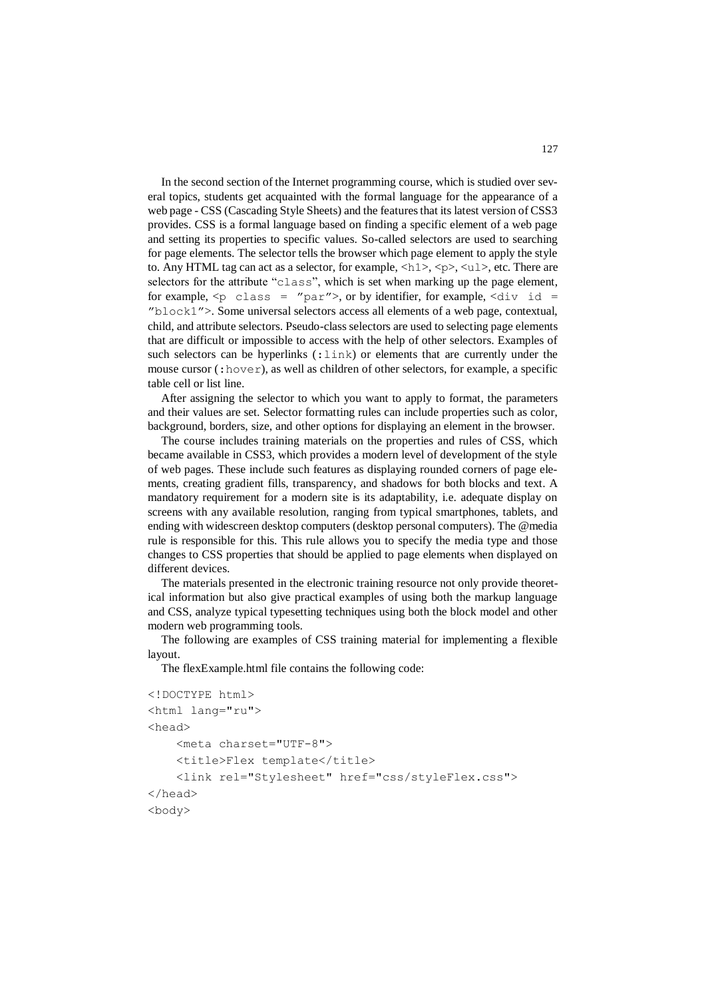In the second section of the Internet programming course, which is studied over several topics, students get acquainted with the formal language for the appearance of a web page - CSS (Cascading Style Sheets) and the features that its latest version of CSS3 provides. CSS is a formal language based on finding a specific element of a web page and setting its properties to specific values. So-called selectors are used to searching for page elements. The selector tells the browser which page element to apply the style to. Any HTML tag can act as a selector, for example,  $\langle h1 \rangle$ ,  $\langle p \rangle$ ,  $\langle u1 \rangle$ , etc. There are selectors for the attribute "class", which is set when marking up the page element, for example,  $\langle p \rangle$  class = "par">, or by identifier, for example,  $\langle \text{div} \rangle$  id = "block1">. Some universal selectors access all elements of a web page, contextual, child, and attribute selectors. Pseudo-class selectors are used to selecting page elements that are difficult or impossible to access with the help of other selectors. Examples of such selectors can be hyperlinks (:link) or elements that are currently under the mouse cursor (:hover), as well as children of other selectors, for example, a specific table cell or list line.

After assigning the selector to which you want to apply to format, the parameters and their values are set. Selector formatting rules can include properties such as color, background, borders, size, and other options for displaying an element in the browser.

The course includes training materials on the properties and rules of CSS, which became available in CSS3, which provides a modern level of development of the style of web pages. These include such features as displaying rounded corners of page elements, creating gradient fills, transparency, and shadows for both blocks and text. A mandatory requirement for a modern site is its adaptability, i.e. adequate display on screens with any available resolution, ranging from typical smartphones, tablets, and ending with widescreen desktop computers (desktop personal computers). The @media rule is responsible for this. This rule allows you to specify the media type and those changes to CSS properties that should be applied to page elements when displayed on different devices.

The materials presented in the electronic training resource not only provide theoretical information but also give practical examples of using both the markup language and CSS, analyze typical typesetting techniques using both the block model and other modern web programming tools.

The following are examples of CSS training material for implementing a flexible layout.

The flexExample.html file contains the following code:

```
<!DOCTYPE html>
<html lang="ru">
<head>
     <meta charset="UTF-8">
     <title>Flex template</title>
     <link rel="Stylesheet" href="css/styleFlex.css">
</head>
<body>
```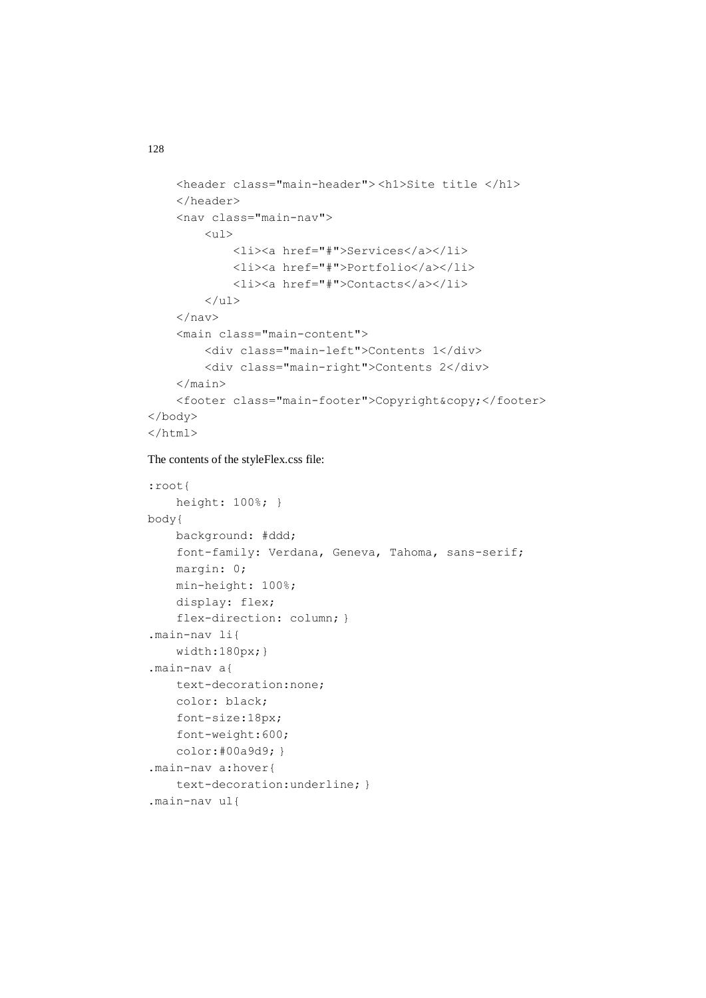```
 <header class="main-header"> <h1>Site title </h1>
     </header>
     <nav class="main-nav">
         \langle \text{ul}\rangle <li><a href="#">Services</a></li>
               <li><a href="#">Portfolio</a></li>
               <li><a href="#">Contacts</a></li>
         \langle/ul>
    \langle/nav\rangle <main class="main-content">
          <div class="main-left">Contents 1</div>
          <div class="main-right">Contents 2</div>
    \langle/main\rangle<footer class="main-footer">Copyright&copy;</footer>
</body>
\langle/html>
```

```
The contents of the styleFlex.css file:
```

```
:root{
     height: 100%; }
body{
     background: #ddd;
     font-family: Verdana, Geneva, Tahoma, sans-serif;
     margin: 0;
     min-height: 100%;
     display: flex;
    flex-direction: column; }
.main-nav li{
     width:180px;}
.main-nav a{
     text-decoration:none;
     color: black;
     font-size:18px;
     font-weight:600;
     color:#00a9d9; }
.main-nav a:hover{
     text-decoration:underline; }
.main-nav ul{
```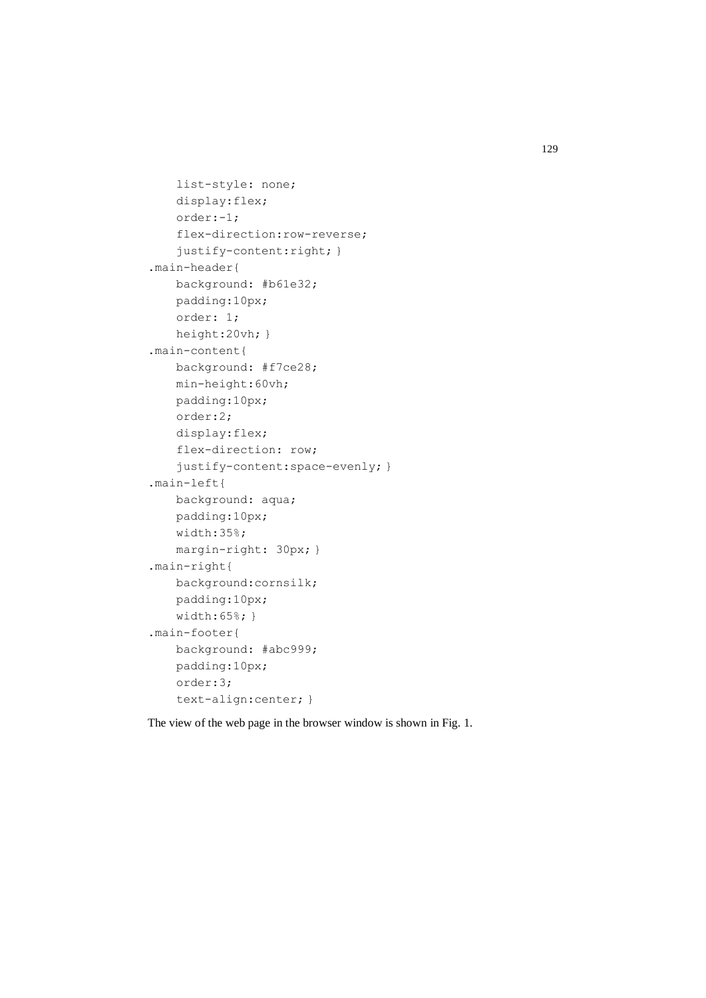```
 list-style: none;
     display:flex;
     order:-1;
     flex-direction:row-reverse;
    justify-content: right; }
.main-header{
    background: #b61e32;
    padding:10px;
     order: 1;
    height:20vh; }
.main-content{
    background: #f7ce28;
    min-height:60vh;
    padding:10px;
    order:2;
     display:flex;
     flex-direction: row;
     justify-content:space-evenly; }
.main-left{
    background: aqua;
    padding:10px;
     width:35%;
    margin-right: 30px; }
.main-right{
    background:cornsilk;
    padding:10px;
    width:65%; }
.main-footer{
    background: #abc999;
    padding:10px;
     order:3;
     text-align:center; }
```
The view of the web page in the browser window is shown in Fig. 1.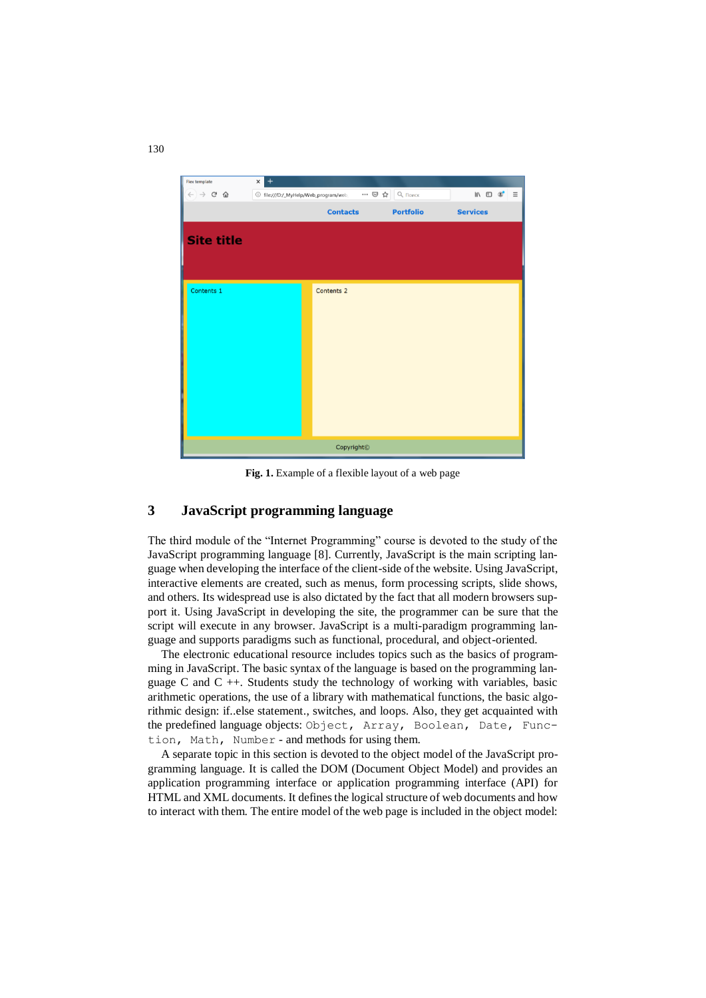

**Fig. 1.** Example of a flexible layout of a web page

## **3 JavaScript programming language**

The third module of the "Internet Programming" course is devoted to the study of the JavaScript programming language [8]. Currently, JavaScript is the main scripting language when developing the interface of the client-side of the website. Using JavaScript, interactive elements are created, such as menus, form processing scripts, slide shows, and others. Its widespread use is also dictated by the fact that all modern browsers support it. Using JavaScript in developing the site, the programmer can be sure that the script will execute in any browser. JavaScript is a multi-paradigm programming language and supports paradigms such as functional, procedural, and object-oriented.

The electronic educational resource includes topics such as the basics of programming in JavaScript. The basic syntax of the language is based on the programming language C and C ++. Students study the technology of working with variables, basic arithmetic operations, the use of a library with mathematical functions, the basic algorithmic design: if..else statement., switches, and loops. Also, they get acquainted with the predefined language objects: Object, Array, Boolean, Date, Function, Math, Number - and methods for using them.

A separate topic in this section is devoted to the object model of the JavaScript programming language. It is called the DOM (Document Object Model) and provides an application programming interface or application programming interface (API) for HTML and XML documents. It defines the logical structure of web documents and how to interact with them. The entire model of the web page is included in the object model: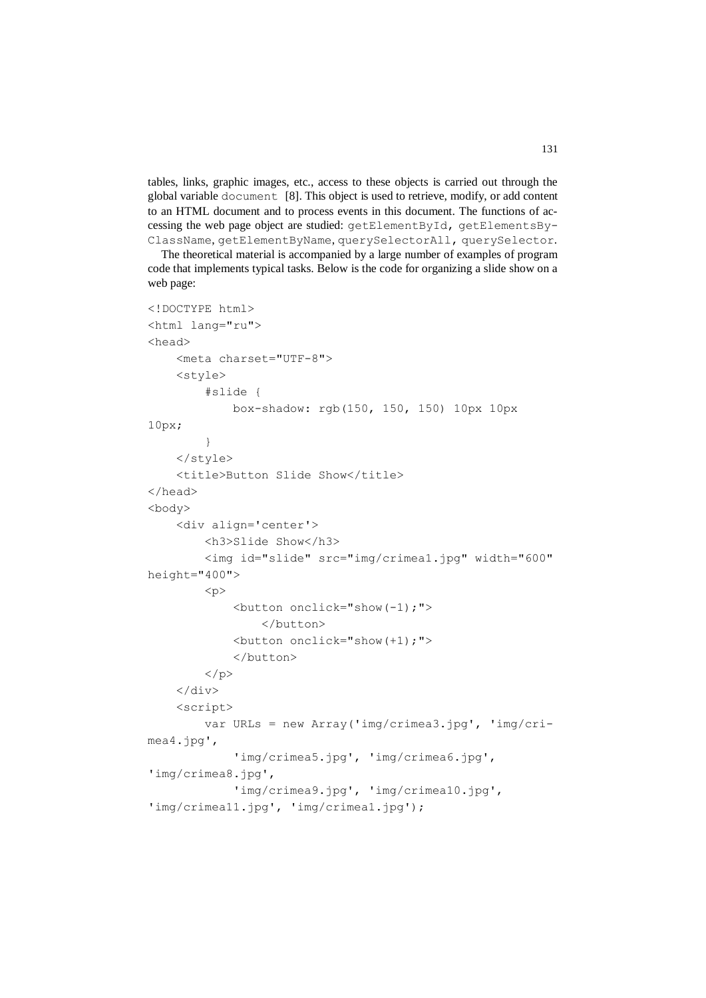tables, links, graphic images, etc., access to these objects is carried out through the global variable document [8]. This object is used to retrieve, modify, or add content to an HTML document and to process events in this document. The functions of accessing the web page object are studied: getElementById, getElementsBy-ClassName, getElementByName, querySelectorAll, querySelector.

The theoretical material is accompanied by a large number of examples of program code that implements typical tasks. Below is the code for organizing a slide show on a web page:

```
<!DOCTYPE html>
<html lang="ru">
<head>
     <meta charset="UTF-8">
     <style>
         #slide {
              box-shadow: rgb(150, 150, 150) 10px 10px 
10px;
          }
     </style>
    <title>Button Slide Show</title>
</head>
<body>
     <div align='center'>
         <h3>Slide Show</h3>
         <img id="slide" src="img/crimea1.jpg" width="600" 
height="400">
        p <button onclick="show(-1);">
                  </button> 
              <button onclick="show(+1);">
              </button>
        \langle/p>
    \langle/div\rangle <script>
         var URLs = new Array('img/crimea3.jpg', 'img/cri-
mea4.jpg',
              'img/crimea5.jpg', 'img/crimea6.jpg', 
'img/crimea8.jpg',
              'img/crimea9.jpg', 'img/crimea10.jpg', 
'img/crimea11.jpg', 'img/crimea1.jpg');
```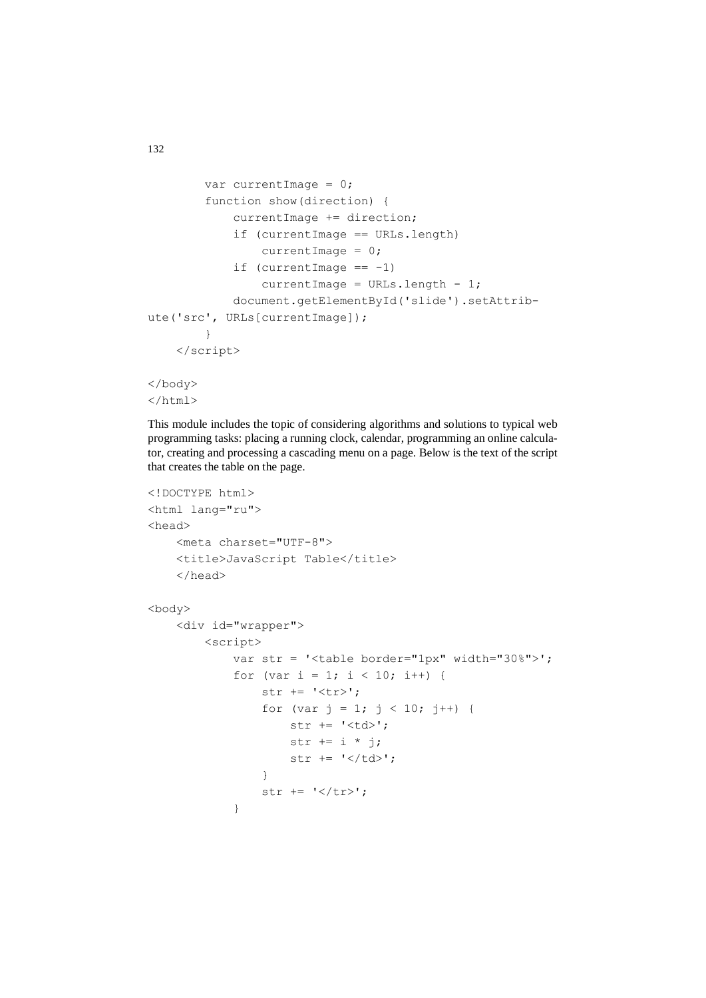```
 var currentImage = 0;
         function show(direction) {
             currentImage += direction;
             if (currentImage == URLs.length)
                currentImage = 0;
            if (currentImage == -1)
                currentImage = URLs.length - 1; document.getElementById('slide').setAttrib-
ute('src', URLs[currentImage]);
         }
     </script>
</body>
</html>
```
This module includes the topic of considering algorithms and solutions to typical web programming tasks: placing a running clock, calendar, programming an online calculator, creating and processing a cascading menu on a page. Below is the text of the script that creates the table on the page.

```
<!DOCTYPE html>
<html lang="ru">
<head>
     <meta charset="UTF-8">
     <title>JavaScript Table</title>
     </head>
<body>
     <div id="wrapper">
         <script>
             var str = '<table border="1px" width="30%">';
            for (var i = 1; i < 10; i++) {
                str += '\langle tr \rangle;
                for (var j = 1; j < 10; j++) {
                     str += '<td>';
                    str += i * j;str += '</td>';
 }
                str += \cdot '</tr>';
 }
```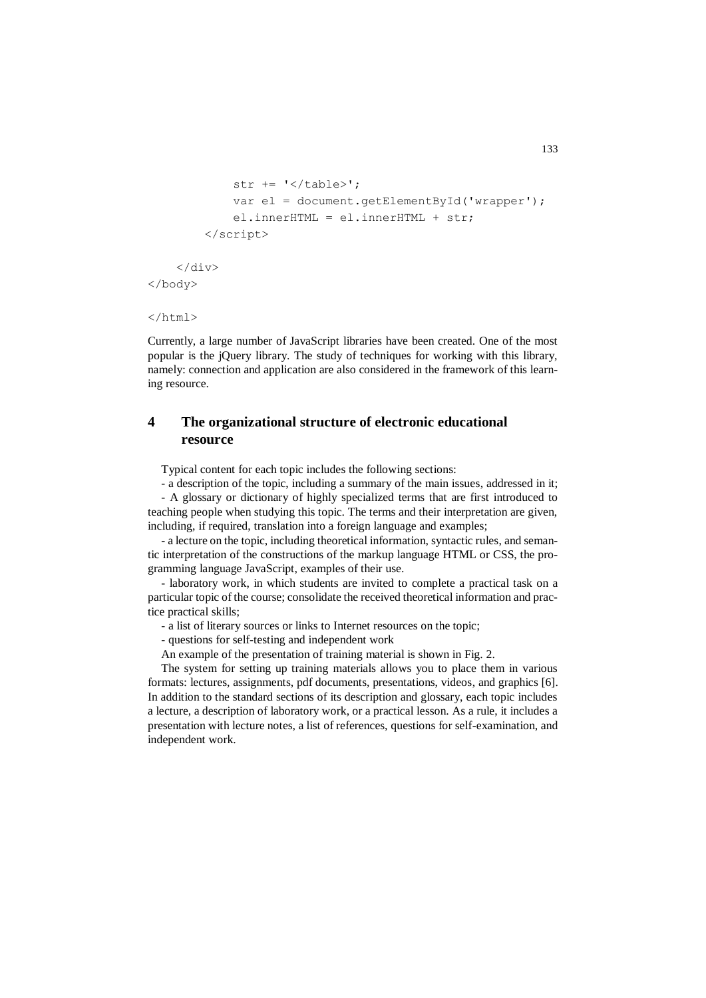```
str += '</table>';
            var el = document.getElementById('wrapper');
             el.innerHTML = el.innerHTML + str;
         </script>
     </div>
</body>
```

```
</html>
```
Currently, a large number of JavaScript libraries have been created. One of the most popular is the jQuery library. The study of techniques for working with this library, namely: connection and application are also considered in the framework of this learning resource.

## **4 The organizational structure of electronic educational resource**

Typical content for each topic includes the following sections:

- a description of the topic, including a summary of the main issues, addressed in it;

- A glossary or dictionary of highly specialized terms that are first introduced to teaching people when studying this topic. The terms and their interpretation are given, including, if required, translation into a foreign language and examples;

- a lecture on the topic, including theoretical information, syntactic rules, and semantic interpretation of the constructions of the markup language HTML or CSS, the programming language JavaScript, examples of their use.

- laboratory work, in which students are invited to complete a practical task on a particular topic of the course; consolidate the received theoretical information and practice practical skills;

- a list of literary sources or links to Internet resources on the topic;

- questions for self-testing and independent work

An example of the presentation of training material is shown in Fig. 2.

The system for setting up training materials allows you to place them in various formats: lectures, assignments, pdf documents, presentations, videos, and graphics [6]. In addition to the standard sections of its description and glossary, each topic includes a lecture, a description of laboratory work, or a practical lesson. As a rule, it includes a presentation with lecture notes, a list of references, questions for self-examination, and independent work.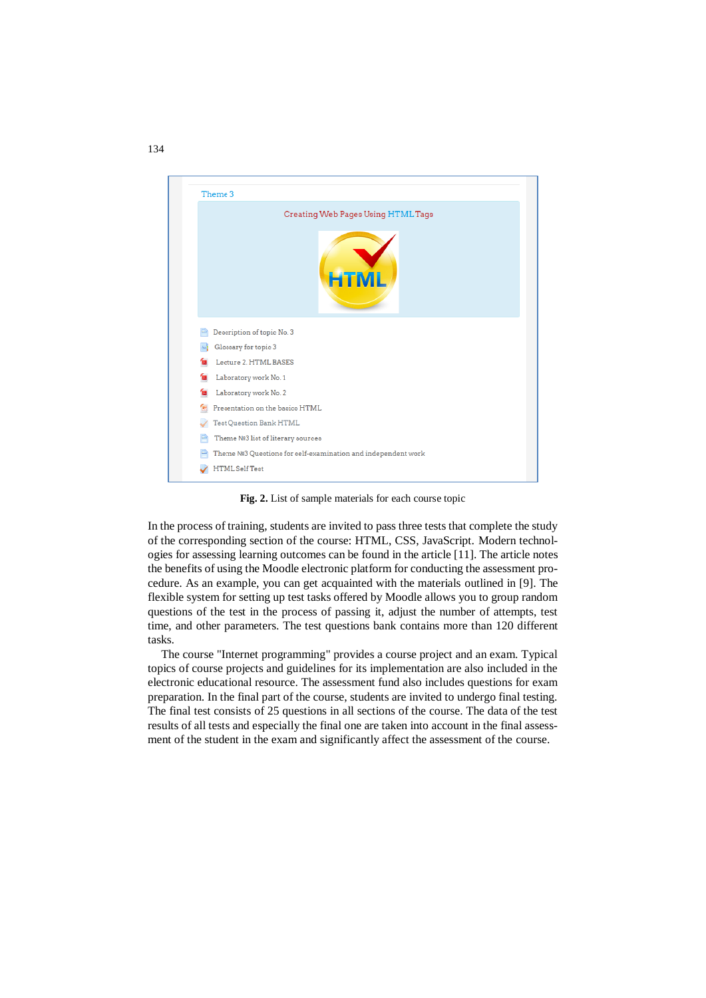

**Fig. 2.** List of sample materials for each course topic

In the process of training, students are invited to pass three tests that complete the study of the corresponding section of the course: HTML, CSS, JavaScript. Modern technologies for assessing learning outcomes can be found in the article [11]. The article notes the benefits of using the Moodle electronic platform for conducting the assessment procedure. As an example, you can get acquainted with the materials outlined in [9]. The flexible system for setting up test tasks offered by Moodle allows you to group random questions of the test in the process of passing it, adjust the number of attempts, test time, and other parameters. The test questions bank contains more than 120 different tasks.

The course "Internet programming" provides a course project and an exam. Typical topics of course projects and guidelines for its implementation are also included in the electronic educational resource. The assessment fund also includes questions for exam preparation. In the final part of the course, students are invited to undergo final testing. The final test consists of 25 questions in all sections of the course. The data of the test results of all tests and especially the final one are taken into account in the final assessment of the student in the exam and significantly affect the assessment of the course.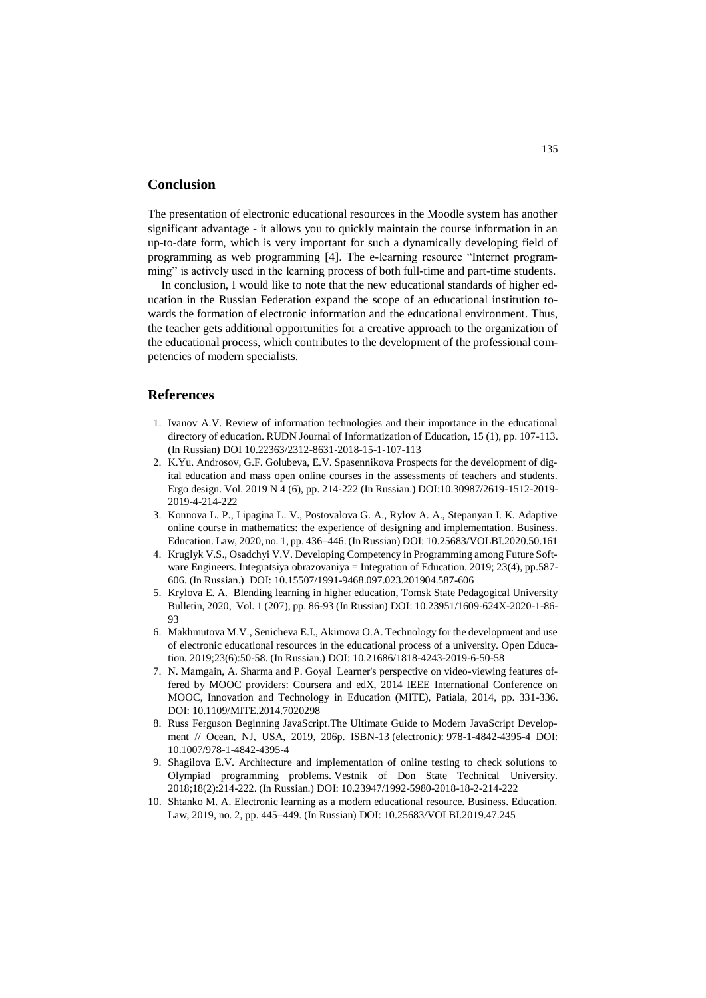#### **Conclusion**

The presentation of electronic educational resources in the Moodle system has another significant advantage - it allows you to quickly maintain the course information in an up-to-date form, which is very important for such a dynamically developing field of programming as web programming [4]. The e-learning resource "Internet programming" is actively used in the learning process of both full-time and part-time students.

In conclusion, I would like to note that the new educational standards of higher education in the Russian Federation expand the scope of an educational institution towards the formation of electronic information and the educational environment. Thus, the teacher gets additional opportunities for a creative approach to the organization of the educational process, which contributes to the development of the professional competencies of modern specialists.

#### **References**

- 1. Ivanov A.V. Review of information technologies and their importance in the educational directory of education. RUDN Journal of Informatization of Education, 15 (1), pp. 107-113. (In Russian) DOI 10.22363/2312-8631-2018-15-1-107-113
- 2. K.Yu. Androsov, G.F. Golubeva, E.V. Spasennikova Prospects for the development of digital education and mass open online courses in the assessments of teachers and students. [Ergo design.](https://bstu.editorum.ru/en/nauka/journal/92/view) [Vol. 2019 N 4 \(6\),](https://bstu.editorum.ru/en/nauka/issue/1982/view) pp. 214-222 (In Russian.) DOI:10.30987/2619-1512-2019- 2019-4-214-222
- 3. Konnova L. P., Lipagina L. V., Postovalova G. A., Rylov A. A., Stepanyan I. K. Adaptive online course in mathematics: the experience of designing and implementation. Business. Education. Law, 2020, no. 1, pp. 436–446. (In Russian) DOI: 10.25683/VOLBI.2020.50.161
- 4. Kruglyk V.S., Osadchyi V.V. Developing Competency in Programming among Future Software Engineers. Integratsiya obrazovaniya = Integration of Education. 2019; 23(4), pp.587- 606. (In Russian.) DOI: 10.15507/1991-9468.097.023.201904.587-606
- 5. Krylova E. A. Blending learning in higher education, Tomsk State Pedagogical University Bulletin, 2020, Vol. 1 (207), pp. 86-93 (In Russian) DOI: 10.23951/1609-624X-2020-1-86- 93
- 6. Makhmutova M.V., Senicheva E.I., Akimova O.A. Technology for the development and use of electronic educational resources in the educational process of a university. Open Education. 2019;23(6):50-58. (In Russian.) DOI: 10.21686/1818-4243-2019-6-50-58
- 7. N. Mamgain, A. Sharma and P. Goyal Learner's perspective on video-viewing features offered by MOOC providers: Coursera and edX, 2014 IEEE International Conference on MOOC, Innovation and Technology in Education (MITE), Patiala, 2014, pp. 331-336. DOI: [10.1109/MITE.2014.7020298](https://doi.org/10.1109/MITE.2014.7020298)
- 8. Russ Ferguson Beginning JavaScript.The Ultimate Guide to Modern JavaScript Development // Ocean, NJ, USA, 2019, 206p. ISBN-13 (electronic): 978-1-4842-4395-4 DOI: 10.1007/978-1-4842-4395-4
- 9. Shagilova E.V. Architecture and implementation of online testing to check solutions to Olympiad programming problems. Vestnik of Don State Technical University. 2018;18(2):214-222. (In Russian.) DOI: 10.23947/1992-5980-2018-18-2-214-222
- 10. Shtanko M. A. Electronic learning as a modern educational resource. Business. Education. Law, 2019, no. 2, pp. 445–449. (In Russian) DOI: 10.25683/VOLBI.2019.47.245